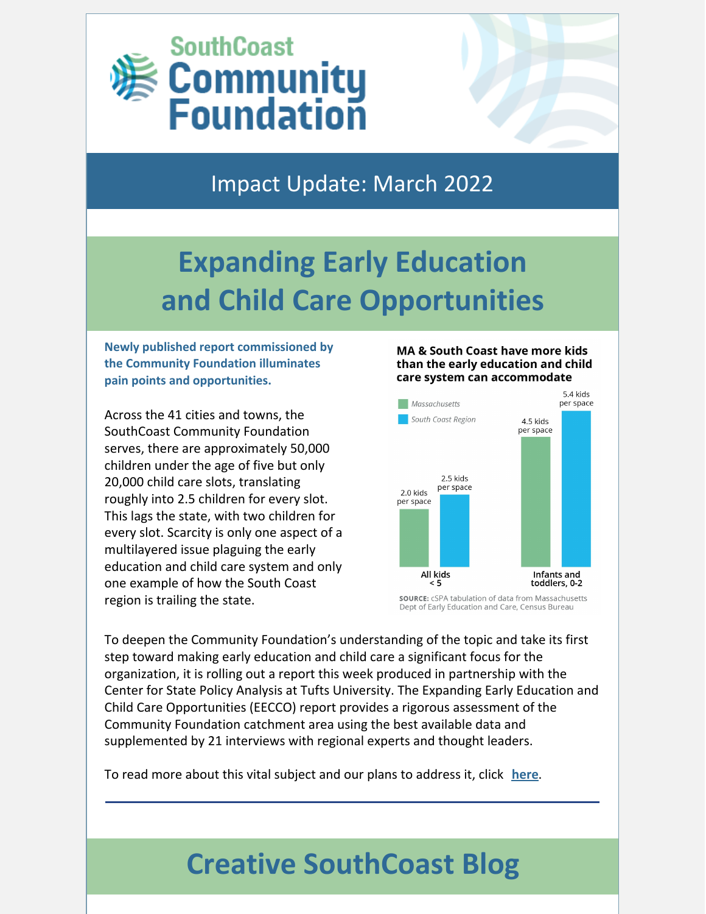

### Impact Update: March 2022

### **Expanding Early Education and Child Care Opportunities**

**Newly published report commissioned by the Community Foundation illuminates pain points and opportunities.**

Across the 41 cities and towns, the SouthCoast Community Foundation serves, there are approximately 50,000 children under the age of five but only 20,000 child care slots, translating roughly into 2.5 children for every slot. This lags the state, with two children for every slot. Scarcity is only one aspect of a multilayered issue plaguing the early education and child care system and only one example of how the South Coast region is trailing the state.

#### **MA & South Coast have more kids** than the early education and child care system can accommodate



**SOURCE:** CSPA tabulation of data from Massachusetts Dept of Early Education and Care, Census Bureau

To deepen the Community Foundation's understanding of the topic and take its first step toward making early education and child care a significant focus for the organization, it is rolling out a report this week produced in partnership with the Center for State Policy Analysis at Tufts University. The Expanding Early Education and Child Care Opportunities (EECCO) report provides a rigorous assessment of the Community Foundation catchment area using the best available data and supplemented by 21 interviews with regional experts and thought leaders.

To read more about this vital subject and our plans to address it, click **[here](https://bit.ly/3IAXjz0)**.

## **Creative SouthCoast Blog**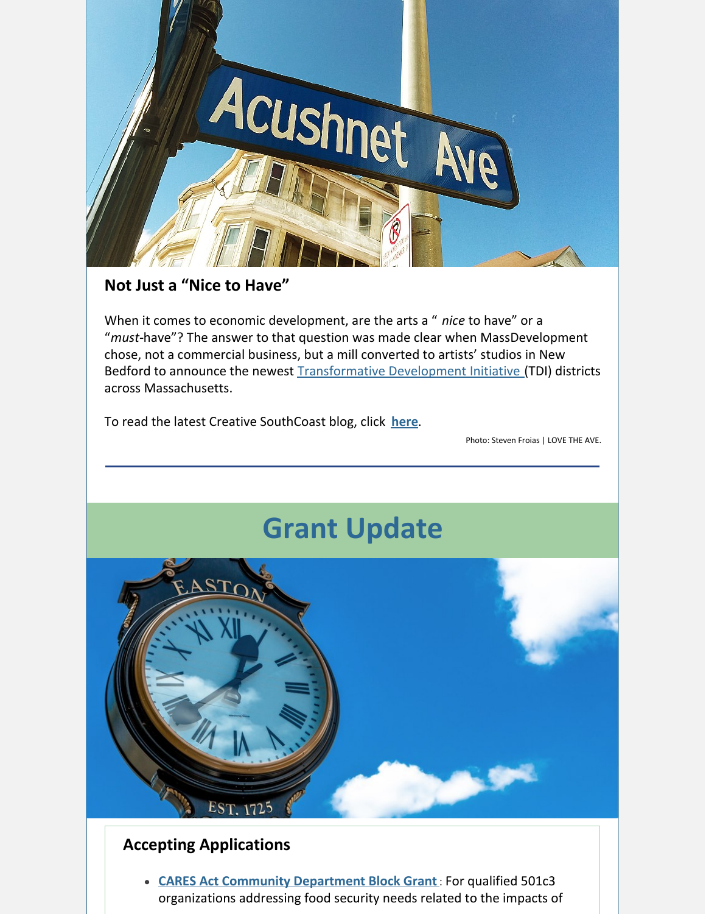

#### **Not Just a "Nice to Have"**

When it comes to economic development, are the arts a " *nice* to have" or a "*must-*have"? The answer to that question was made clear when MassDevelopment chose, not a commercial business, but a mill converted to artists' studios in New Bedford to announce the newest [Transformative](https://www.massdevelopment.com/what-we-offer/key-initiatives/tdi) Development Initiative (TDI) districts across Massachusetts.

To read the latest Creative SouthCoast blog, click **[here](https://bit.ly/3vBi5Ls)**.

Photo: Steven Froias | LOVE THE AVE.

## **Grant Update**



#### **Accepting Applications**

**CARES Act Community [Department](https://bit.ly/3sHSkps) Block Grant**: For qualified 501c3 organizations addressing food security needs related to the impacts of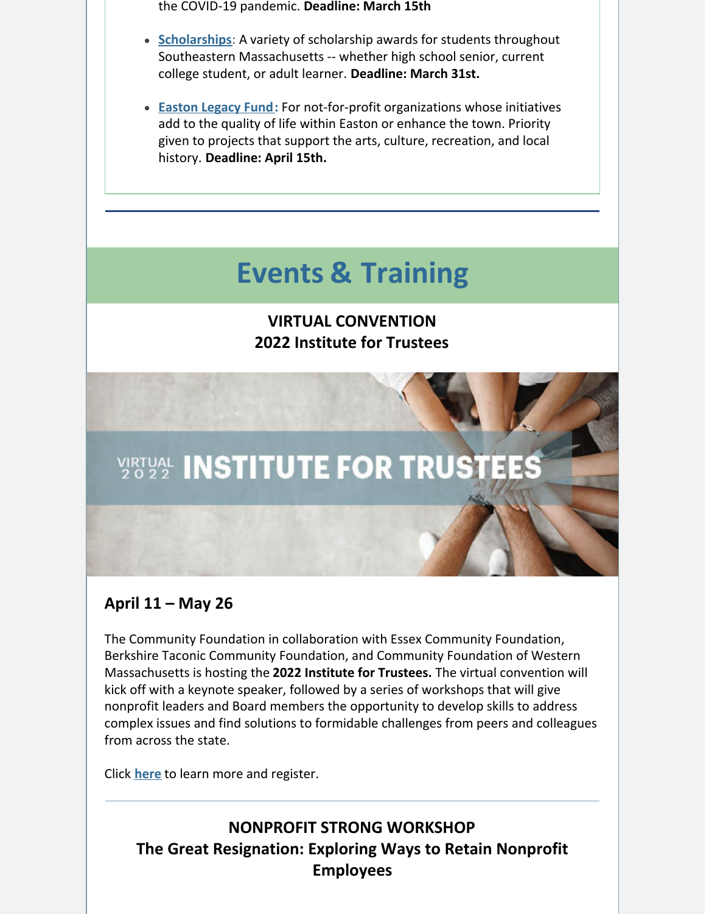the COVID-19 pandemic. **Deadline: March 15th**

- **[Scholarships](https://bit.ly/3LDVKCt)**: A variety of scholarship awards for students throughout Southeastern Massachusetts -- whether high school senior, current college student, or adult learner. **Deadline: March 31st.**
- **[Easton](https://www.grantinterface.com/Process/Apply?urlkey=cfsema) Legacy Fund:** For not-for-profit organizations whose initiatives add to the quality of life within Easton or enhance the town. Priority given to projects that support the arts, culture, recreation, and local history. **Deadline: April 15th.**

### **Events & Training**

**VIRTUAL CONVENTION 2022 Institute for Trustees**

## **WRTWAL INSTITUTE FOR TRUSTEES**

#### **April 11 – May 26**

The Community Foundation in collaboration with Essex Community Foundation, Berkshire Taconic Community Foundation, and Community Foundation of Western Massachusetts is hosting the **2022 Institute for Trustees.** The virtual convention will kick off with a keynote speaker, followed by a series of workshops that will give nonprofit leaders and Board members the opportunity to develop skills to address complex issues and find solutions to formidable challenges from peers and colleagues from across the state.

Click **[here](https://bit.ly/3IYKTkr)** to learn more and register.

#### **NONPROFIT STRONG WORKSHOP The Great Resignation: Exploring Ways to Retain Nonprofit Employees**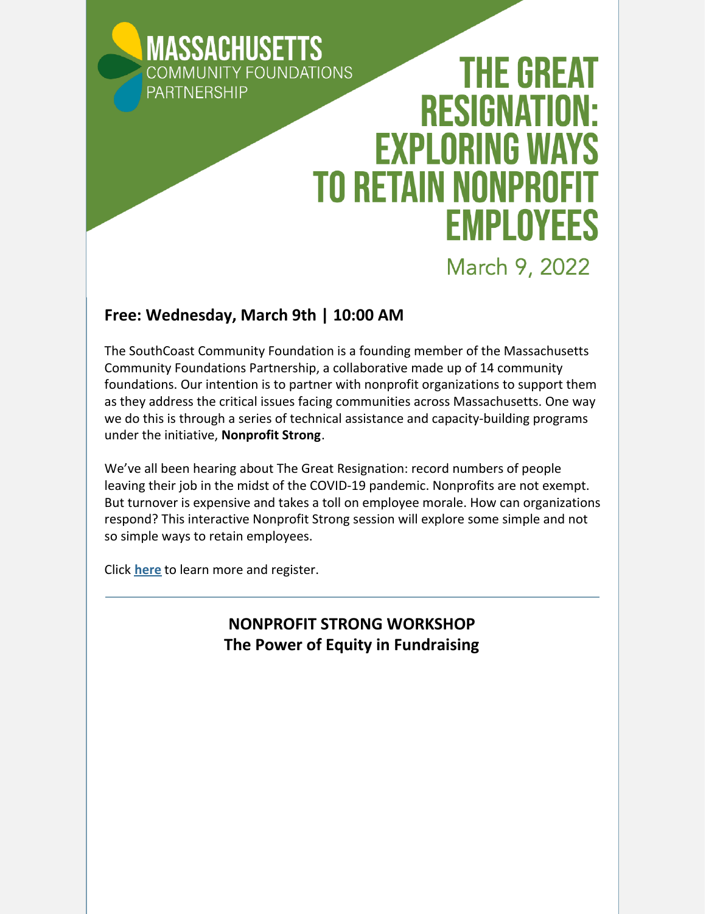

#### **Free: Wednesday, March 9th | 10:00 AM**

The SouthCoast Community Foundation is a founding member of the Massachusetts Community Foundations Partnership, a collaborative made up of 14 community foundations. Our intention is to partner with nonprofit organizations to support them as they address the critical issues facing communities across Massachusetts. One way we do this is through a series of technical assistance and capacity-building programs under the initiative, **Nonprofit Strong**.

We've all been hearing about The Great Resignation: record numbers of people leaving their job in the midst of the COVID-19 pandemic. Nonprofits are not exempt. But turnover is expensive and takes a toll on employee morale. How can organizations respond? This interactive Nonprofit Strong session will explore some simple and not so simple ways to retain employees.

Click **[here](https://bit.ly/3hrqOYh)** to learn more and register.

### **NONPROFIT STRONG WORKSHOP The Power of Equity in Fundraising**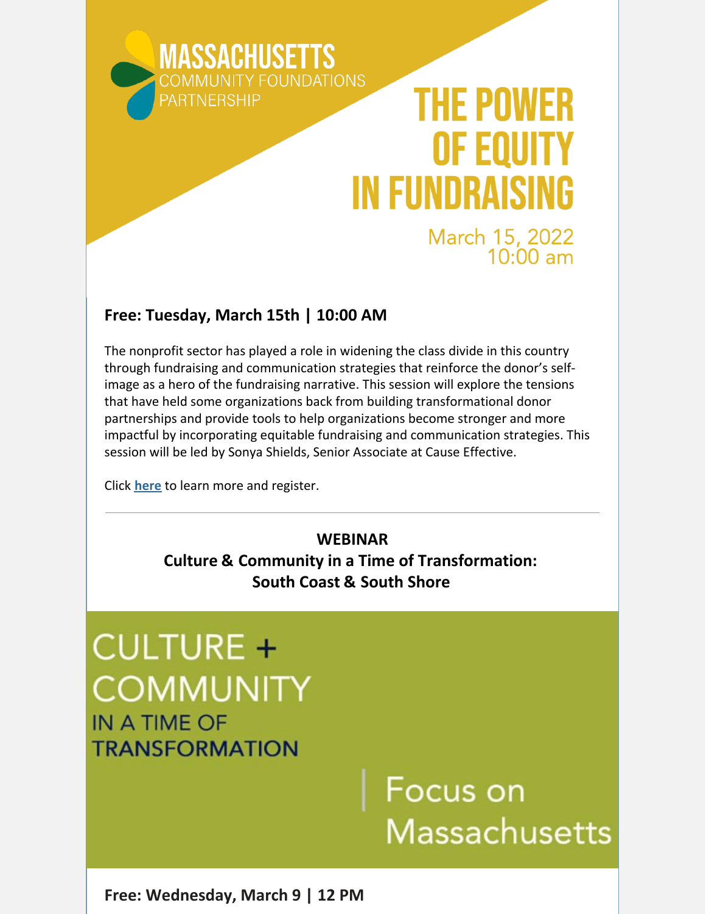

#### **Free: Tuesday, March 15th | 10:00 AM**

The nonprofit sector has played a role in widening the class divide in this country through fundraising and communication strategies that reinforce the donor's selfimage as a hero of the fundraising narrative. This session will explore the tensions that have held some organizations back from building transformational donor partnerships and provide tools to help organizations become stronger and more impactful by incorporating equitable fundraising and communication strategies. This session will be led by Sonya Shields, Senior Associate at Cause Effective.

Click **[here](https://bit.ly/3IGoQ26)** to learn more and register.

#### **WEBINAR**

**Culture & Community in a Time of Transformation: South Coast & South Shore**

### **CULTURE + COMMUNITY IN A TIME OF TRANSFORMATION**

# Focus on **Massachusetts**

**Free: Wednesday, March 9 | 12 PM**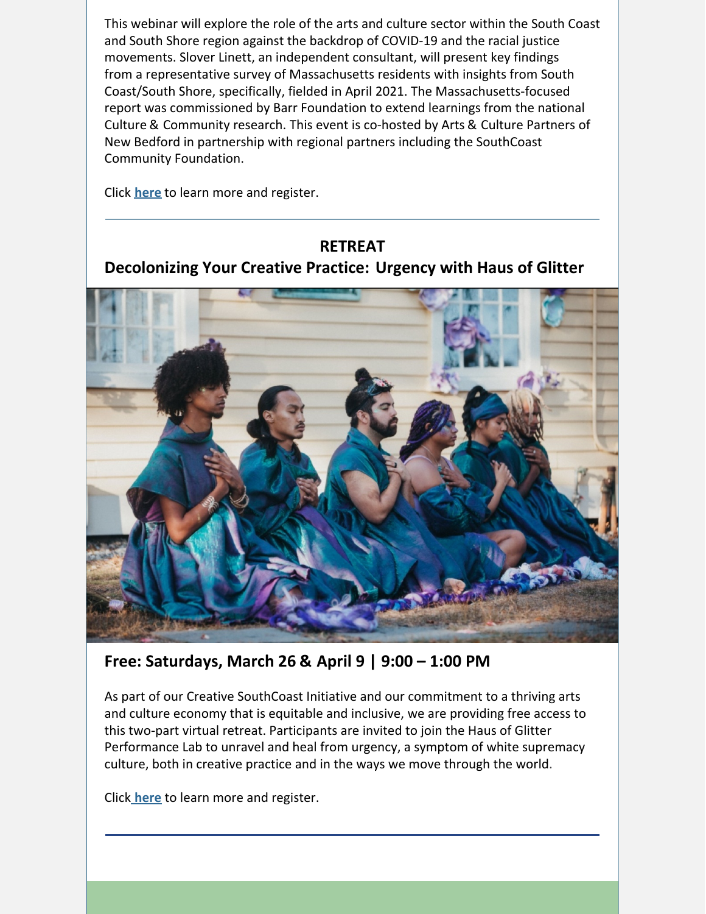This webinar will explore the role of the arts and culture sector within the South Coast and South Shore region against the backdrop of COVID-19 and the racial justice movements. Slover Linett, an independent consultant, will present key findings from a representative survey of Massachusetts residents with insights from South Coast/South Shore, specifically, fielded in April 2021. The Massachusetts-focused report was commissioned by Barr Foundation to extend learnings from the national Culture & Community research. This event is co-hosted by Arts & Culture Partners of New Bedford in partnership with regional partners including the SouthCoast Community Foundation.

Click **[here](https://www.eventbrite.com/e/culture-community-in-a-time-of-transformation-south-coast-south-shore-tickets-225441209727?utm-campaign=social&utm-content=attendeeshare&utm-medium=discovery&utm-term=listing&utm-source=cp&aff=escb)** to learn more and register.

#### **RETREAT Decolonizing Your Creative Practice: Urgency with Haus of Glitter**



**Free: Saturdays, March 26 & April 9 | 9:00 – 1:00 PM**

As part of our Creative SouthCoast Initiative and our commitment to a thriving arts and culture economy that is equitable and inclusive, we are providing free access to this two-part virtual retreat. Participants are invited to join the Haus of Glitter Performance Lab to unravel and heal from urgency, a symptom of white supremacy culture, both in creative practice and in the ways we move through the world.

Clic[k](https://bit.ly/3qKFDdT) **[here](https://bit.ly/3qKFDdT)** to learn more and register.